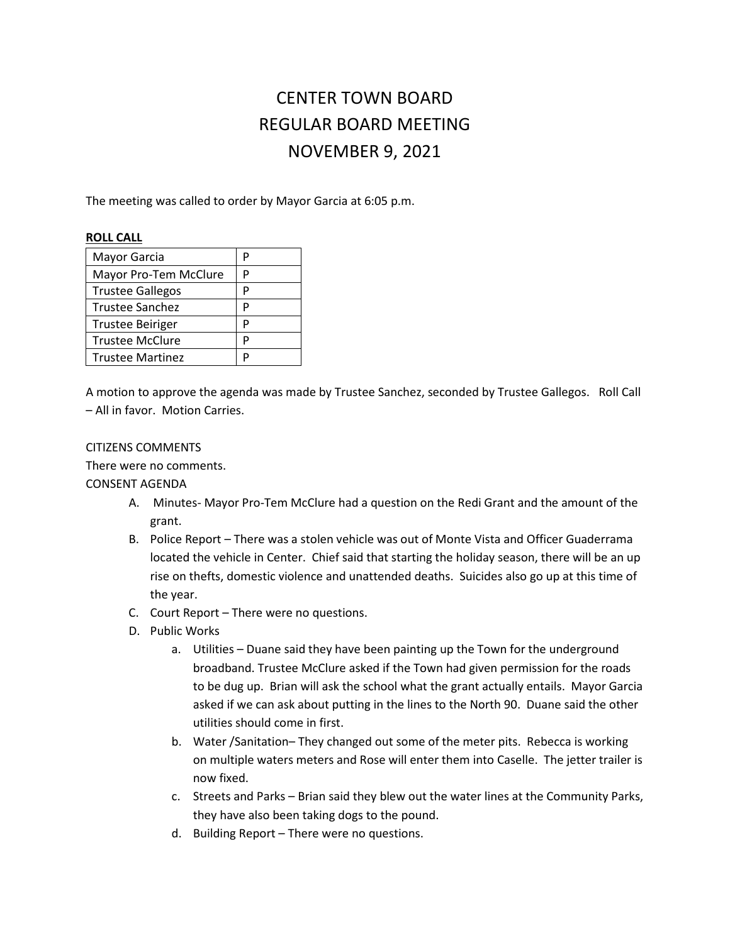# CENTER TOWN BOARD REGULAR BOARD MEETING NOVEMBER 9, 2021

The meeting was called to order by Mayor Garcia at 6:05 p.m.

#### **ROLL CALL**

| Mayor Garcia            | р |
|-------------------------|---|
| Mayor Pro-Tem McClure   | P |
| <b>Trustee Gallegos</b> | P |
| Trustee Sanchez         | P |
| <b>Trustee Beiriger</b> | P |
| <b>Trustee McClure</b>  | P |
| <b>Trustee Martinez</b> |   |

A motion to approve the agenda was made by Trustee Sanchez, seconded by Trustee Gallegos. Roll Call – All in favor. Motion Carries.

## CITIZENS COMMENTS

There were no comments.

## CONSENT AGENDA

- A. Minutes- Mayor Pro-Tem McClure had a question on the Redi Grant and the amount of the grant.
- B. Police Report There was a stolen vehicle was out of Monte Vista and Officer Guaderrama located the vehicle in Center. Chief said that starting the holiday season, there will be an up rise on thefts, domestic violence and unattended deaths. Suicides also go up at this time of the year.
- C. Court Report There were no questions.
- D. Public Works
	- a. Utilities Duane said they have been painting up the Town for the underground broadband. Trustee McClure asked if the Town had given permission for the roads to be dug up. Brian will ask the school what the grant actually entails. Mayor Garcia asked if we can ask about putting in the lines to the North 90. Duane said the other utilities should come in first.
	- b. Water /Sanitation– They changed out some of the meter pits. Rebecca is working on multiple waters meters and Rose will enter them into Caselle. The jetter trailer is now fixed.
	- c. Streets and Parks Brian said they blew out the water lines at the Community Parks, they have also been taking dogs to the pound.
	- d. Building Report There were no questions.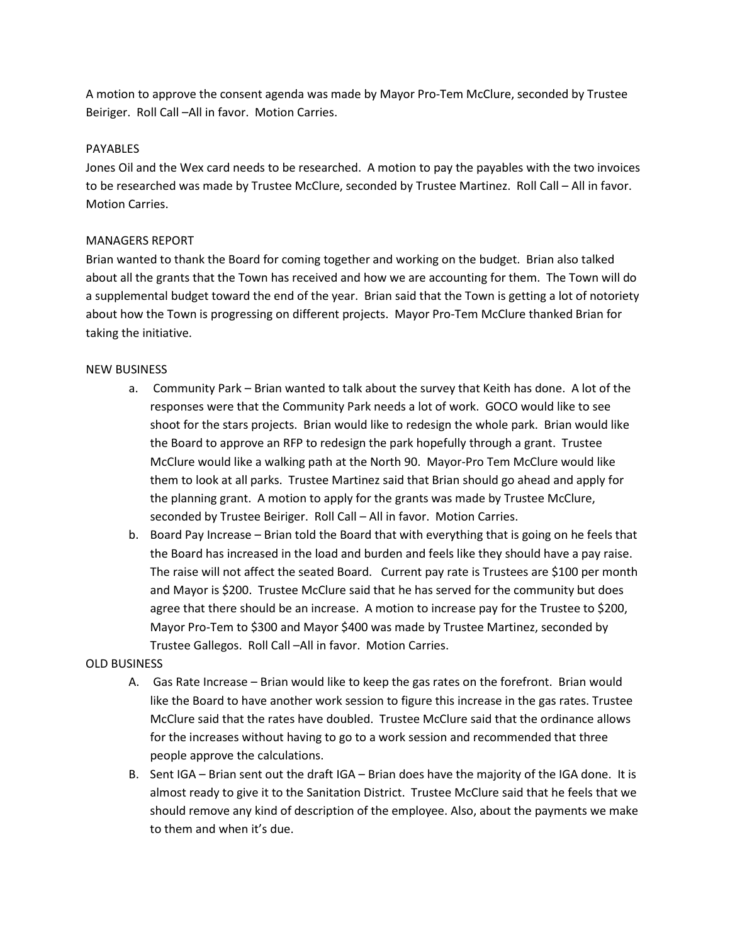A motion to approve the consent agenda was made by Mayor Pro-Tem McClure, seconded by Trustee Beiriger. Roll Call –All in favor. Motion Carries.

## PAYABLES

Jones Oil and the Wex card needs to be researched. A motion to pay the payables with the two invoices to be researched was made by Trustee McClure, seconded by Trustee Martinez. Roll Call – All in favor. Motion Carries.

## MANAGERS REPORT

Brian wanted to thank the Board for coming together and working on the budget. Brian also talked about all the grants that the Town has received and how we are accounting for them. The Town will do a supplemental budget toward the end of the year. Brian said that the Town is getting a lot of notoriety about how the Town is progressing on different projects. Mayor Pro-Tem McClure thanked Brian for taking the initiative.

#### NEW BUSINESS

- a. Community Park Brian wanted to talk about the survey that Keith has done. A lot of the responses were that the Community Park needs a lot of work. GOCO would like to see shoot for the stars projects. Brian would like to redesign the whole park. Brian would like the Board to approve an RFP to redesign the park hopefully through a grant. Trustee McClure would like a walking path at the North 90. Mayor-Pro Tem McClure would like them to look at all parks. Trustee Martinez said that Brian should go ahead and apply for the planning grant. A motion to apply for the grants was made by Trustee McClure, seconded by Trustee Beiriger. Roll Call – All in favor. Motion Carries.
- b. Board Pay Increase Brian told the Board that with everything that is going on he feels that the Board has increased in the load and burden and feels like they should have a pay raise. The raise will not affect the seated Board. Current pay rate is Trustees are \$100 per month and Mayor is \$200. Trustee McClure said that he has served for the community but does agree that there should be an increase. A motion to increase pay for the Trustee to \$200, Mayor Pro-Tem to \$300 and Mayor \$400 was made by Trustee Martinez, seconded by Trustee Gallegos. Roll Call –All in favor. Motion Carries.

## OLD BUSINESS

- A. Gas Rate Increase Brian would like to keep the gas rates on the forefront. Brian would like the Board to have another work session to figure this increase in the gas rates. Trustee McClure said that the rates have doubled. Trustee McClure said that the ordinance allows for the increases without having to go to a work session and recommended that three people approve the calculations.
- B. Sent IGA Brian sent out the draft IGA Brian does have the majority of the IGA done. It is almost ready to give it to the Sanitation District. Trustee McClure said that he feels that we should remove any kind of description of the employee. Also, about the payments we make to them and when it's due.